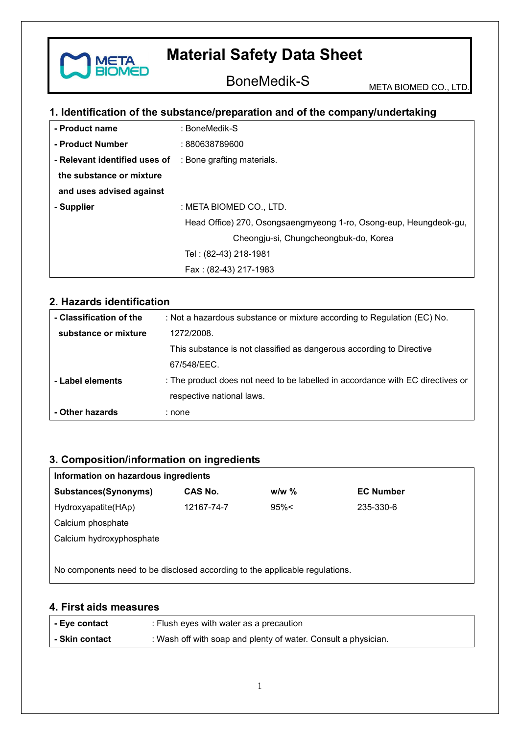

BoneMedik-S META BIOMED CO., LTD.

# **1. Identification of the substance/preparation and of the company/undertaking**

| - Product name                                           | : BoneMedik-S                                                     |  |  |
|----------------------------------------------------------|-------------------------------------------------------------------|--|--|
| - Product Number                                         | : 880638789600                                                    |  |  |
| - Relevant identified uses of : Bone grafting materials. |                                                                   |  |  |
| the substance or mixture                                 |                                                                   |  |  |
| and uses advised against                                 |                                                                   |  |  |
| - Supplier                                               | : META BIOMED CO., LTD.                                           |  |  |
|                                                          | Head Office) 270, Osongsaengmyeong 1-ro, Osong-eup, Heungdeok-gu, |  |  |
|                                                          | Cheongju-si, Chungcheongbuk-do, Korea                             |  |  |
|                                                          | Tel: (82-43) 218-1981                                             |  |  |
|                                                          | Fax: (82-43) 217-1983                                             |  |  |

### **2. Hazards identification**

| - Classification of the | : Not a hazardous substance or mixture according to Regulation (EC) No.        |
|-------------------------|--------------------------------------------------------------------------------|
| substance or mixture    | 1272/2008.                                                                     |
|                         | This substance is not classified as dangerous according to Directive           |
|                         | 67/548/EEC.                                                                    |
| - Label elements        | : The product does not need to be labelled in accordance with EC directives or |
|                         | respective national laws.                                                      |
| - Other hazards         | : none                                                                         |

# **3. Composition/information on ingredients**

| Information on hazardous ingredients                                        |            |         |                  |  |
|-----------------------------------------------------------------------------|------------|---------|------------------|--|
| Substances(Synonyms)                                                        | CAS No.    | $w/w$ % | <b>EC Number</b> |  |
| Hydroxyapatite(HAp)                                                         | 12167-74-7 | 95%<    | 235-330-6        |  |
| Calcium phosphate                                                           |            |         |                  |  |
| Calcium hydroxyphosphate                                                    |            |         |                  |  |
|                                                                             |            |         |                  |  |
| No components need to be disclosed according to the applicable regulations. |            |         |                  |  |

### **4. First aids measures**

| - Eye contact  | : Flush eyes with water as a precaution                        |
|----------------|----------------------------------------------------------------|
| - Skin contact | : Wash off with soap and plenty of water. Consult a physician. |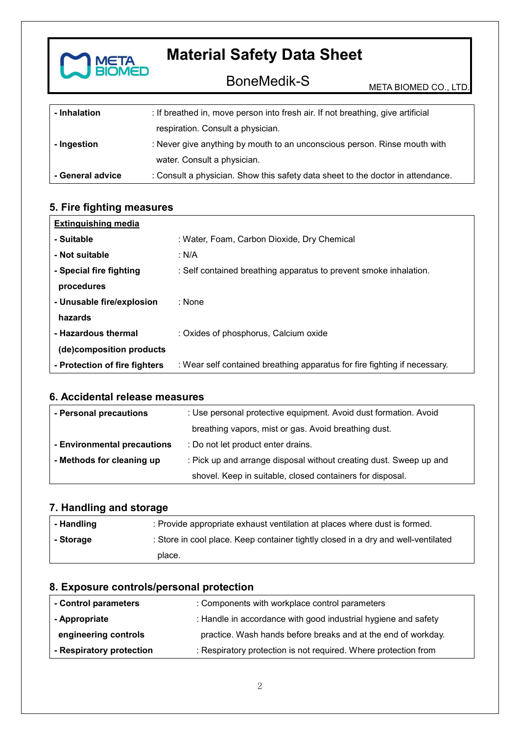

BoneMedik-S META BIOMED CO., LTD.

| - Inhalation     | : If breathed in, move person into fresh air. If not breathing, give artificial |
|------------------|---------------------------------------------------------------------------------|
|                  | respiration. Consult a physician.                                               |
| - Ingestion      | : Never give anything by mouth to an unconscious person. Rinse mouth with       |
|                  | water. Consult a physician.                                                     |
| - General advice | : Consult a physician. Show this safety data sheet to the doctor in attendance. |

# **5. Fire fighting measures**

| <b>Extinguishing media</b>    |                                                                           |
|-------------------------------|---------------------------------------------------------------------------|
| - Suitable                    | : Water, Foam, Carbon Dioxide, Dry Chemical                               |
| - Not suitable                | : N/A                                                                     |
| - Special fire fighting       | : Self contained breathing apparatus to prevent smoke inhalation.         |
| procedures                    |                                                                           |
| - Unusable fire/explosion     | : None                                                                    |
| hazards                       |                                                                           |
| - Hazardous thermal           | : Oxides of phosphorus, Calcium oxide                                     |
| (de)composition products      |                                                                           |
| - Protection of fire fighters | : Wear self contained breathing apparatus for fire fighting if necessary. |

### **6. Accidental release measures**

| - Personal precautions      | : Use personal protective equipment. Avoid dust formation. Avoid   |  |
|-----------------------------|--------------------------------------------------------------------|--|
|                             | breathing vapors, mist or gas. Avoid breathing dust.               |  |
| - Environmental precautions | : Do not let product enter drains.                                 |  |
| - Methods for cleaning up   | : Pick up and arrange disposal without creating dust. Sweep up and |  |
|                             | shovel. Keep in suitable, closed containers for disposal.          |  |

# **7. Handling and storage**

| - Handling | : Provide appropriate exhaust ventilation at places where dust is formed.         |
|------------|-----------------------------------------------------------------------------------|
| - Storage  | : Store in cool place. Keep container tightly closed in a dry and well-ventilated |
|            | place.                                                                            |

# **8. Exposure controls/personal protection**

| - Control parameters     | : Components with workplace control parameters                  |
|--------------------------|-----------------------------------------------------------------|
| - Appropriate            | : Handle in accordance with good industrial hygiene and safety  |
| engineering controls     | practice. Wash hands before breaks and at the end of workday.   |
| - Respiratory protection | : Respiratory protection is not required. Where protection from |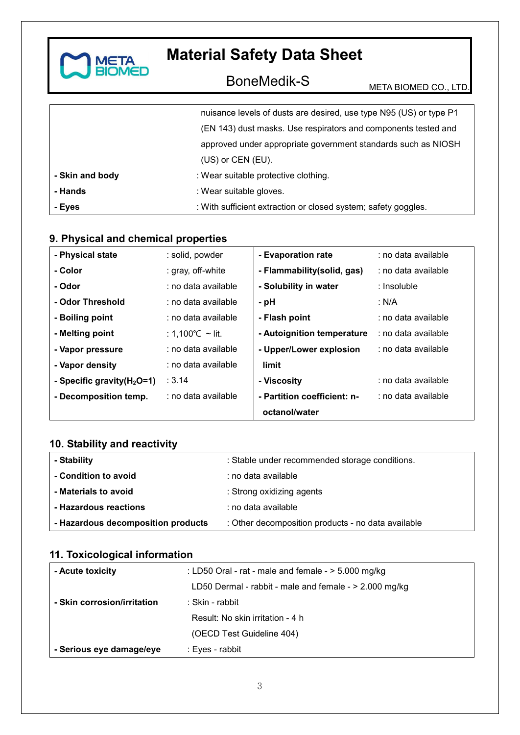

# BoneMedik-S META BIOMED CO., LTD.

|                 | nuisance levels of dusts are desired, use type N95 (US) or type P1 |
|-----------------|--------------------------------------------------------------------|
|                 | (EN 143) dust masks. Use respirators and components tested and     |
|                 | approved under appropriate government standards such as NIOSH      |
|                 | (US) or CEN (EU).                                                  |
| - Skin and body | : Wear suitable protective clothing.                               |
| - Hands         | : Wear suitable gloves.                                            |
| - Eyes          | : With sufficient extraction or closed system; safety goggles.     |

# **9. Physical and chemical properties**

| - Physical state              | : solid, powder     | - Evaporation rate          | : no data available |
|-------------------------------|---------------------|-----------------------------|---------------------|
| - Color                       | : gray, off-white   | - Flammability (solid, gas) | : no data available |
| - Odor                        | : no data available | - Solubility in water       | : Insoluble         |
| - Odor Threshold              | : no data available | - pH                        | : N/A               |
| - Boiling point               | : no data available | - Flash point               | : no data available |
| - Melting point               | : 1,100 °C ∼ lit.   | - Autoignition temperature  | : no data available |
| - Vapor pressure              | : no data available | - Upper/Lower explosion     | : no data available |
| - Vapor density               | : no data available | limit                       |                     |
| - Specific gravity $(H_2O=1)$ | : 3.14              | - Viscosity                 | : no data available |
| - Decomposition temp.         | : no data available | - Partition coefficient: n- | : no data available |
|                               |                     | octanol/water               |                     |

# **10. Stability and reactivity**

| - Stability                        | : Stable under recommended storage conditions.     |
|------------------------------------|----------------------------------------------------|
| - Condition to avoid               | : no data available                                |
| - Materials to avoid               | : Strong oxidizing agents                          |
| - Hazardous reactions              | : no data available                                |
| - Hazardous decomposition products | : Other decomposition products - no data available |

# **11. Toxicological information**

| - Acute toxicity            | : LD50 Oral - rat - male and female - $>$ 5.000 mg/kg    |
|-----------------------------|----------------------------------------------------------|
|                             | LD50 Dermal - rabbit - male and female - $> 2.000$ mg/kg |
| - Skin corrosion/irritation | : Skin - rabbit                                          |
|                             | Result: No skin irritation - 4 h                         |
|                             | (OECD Test Guideline 404)                                |
| - Serious eye damage/eye    | : Eyes - rabbit                                          |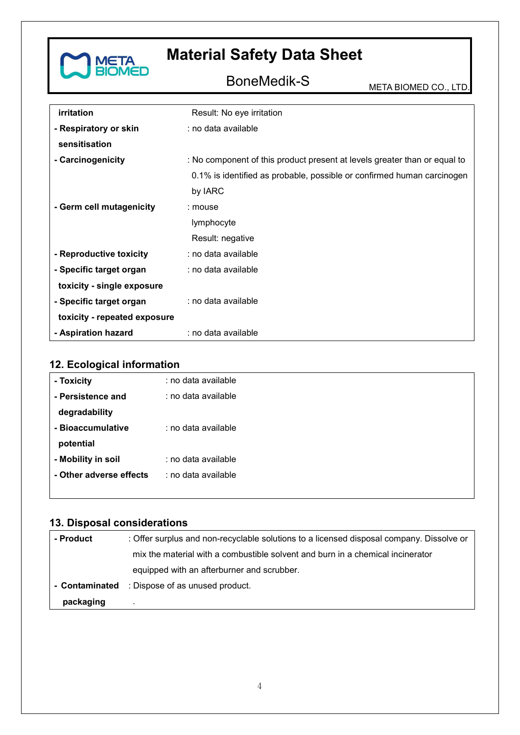

# BoneMedik-S META BIOMED CO., LTD.

| irritation                   | Result: No eye irritation                                                 |  |
|------------------------------|---------------------------------------------------------------------------|--|
| - Respiratory or skin        | : no data available                                                       |  |
| sensitisation                |                                                                           |  |
| - Carcinogenicity            | : No component of this product present at levels greater than or equal to |  |
|                              | 0.1% is identified as probable, possible or confirmed human carcinogen    |  |
|                              | by IARC                                                                   |  |
| - Germ cell mutagenicity     | : mouse                                                                   |  |
|                              | lymphocyte                                                                |  |
|                              | Result: negative                                                          |  |
| - Reproductive toxicity      | : no data available                                                       |  |
| - Specific target organ      | : no data available                                                       |  |
| toxicity - single exposure   |                                                                           |  |
| - Specific target organ      | : no data available                                                       |  |
| toxicity - repeated exposure |                                                                           |  |
| - Aspiration hazard          | : no data available                                                       |  |

# **12. Ecological information**

| - Toxicity              | : no data available |
|-------------------------|---------------------|
| - Persistence and       | : no data available |
| degradability           |                     |
| - Bioaccumulative       | : no data available |
| potential               |                     |
| - Mobility in soil      | : no data available |
| - Other adverse effects | : no data available |
|                         |                     |

# **13. Disposal considerations**

| - Product      | : Offer surplus and non-recyclable solutions to a licensed disposal company. Dissolve or |
|----------------|------------------------------------------------------------------------------------------|
|                | mix the material with a combustible solvent and burn in a chemical incinerator           |
|                | equipped with an afterburner and scrubber.                                               |
| - Contaminated | : Dispose of as unused product.                                                          |
| packaging      |                                                                                          |